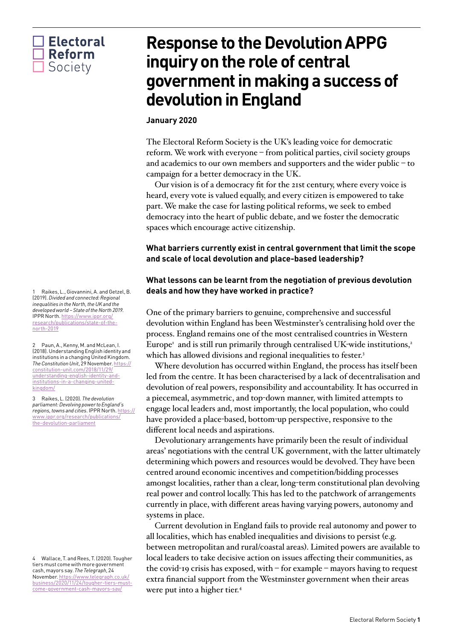

# **Response to the Devolution APPG inquiry on the role of central government in making a success of devolution in England**

## **January 2020**

The Electoral Reform Society is the UK's leading voice for democratic reform. We work with everyone – from political parties, civil society groups and academics to our own members and supporters and the wider public – to campaign for a better democracy in the UK.

Our vision is of a democracy fit for the 21st century, where every voice is heard, every vote is valued equally, and every citizen is empowered to take part. We make the case for lasting political reforms, we seek to embed democracy into the heart of public debate, and we foster the democratic spaces which encourage active citizenship.

**What barriers currently exist in central government that limit the scope and scale of local devolution and place-based leadership?**

# **What lessons can be learnt from the negotiation of previous devolution deals and how they have worked in practice?**

One of the primary barriers to genuine, comprehensive and successful devolution within England has been Westminster's centralising hold over the process. England remains one of the most centralised countries in Western Europe<sup>1</sup> and is still run primarily through centralised UK-wide institutions,<sup>2</sup> which has allowed divisions and regional inequalities to fester.[3](#page-0-2)

Where devolution has occurred within England, the process has itself been led from the centre. It has been characterised by a lack of decentralisation and devolution of real powers, responsibility and accountability. It has occurred in a piecemeal, asymmetric, and top-down manner, with limited attempts to engage local leaders and, most importantly, the local population, who could have provided a place-based, bottom-up perspective, responsive to the different local needs and aspirations.

Devolutionary arrangements have primarily been the result of individual areas' negotiations with the central UK government, with the latter ultimately determining which powers and resources would be devolved. They have been centred around economic incentives and competition/bidding processes amongst localities, rather than a clear, long-term constitutional plan devolving real power and control locally. This has led to the patchwork of arrangements currently in place, with different areas having varying powers, autonomy and systems in place.

Current devolution in England fails to provide real autonomy and power to all localities, which has enabled inequalities and divisions to persist (e.g. between metropolitan and rural/coastal areas). Limited powers are available to local leaders to take decisive action on issues affecting their communities, as the covid-19 crisis has exposed, with – for example – mayors having to request extra financial support from the Westminster government when their areas were put into a higher tier.<sup>[4](#page-0-3)</sup>

<span id="page-0-0"></span>Raikes, L., Giovannini, A. and Getzel, B. (2019). *Divided and connected: Regional inequalities in the North, the UK and the developed world – State of the North 2019*. IPPR North. [https://www.ippr.org/](https://www.ippr.org/research/publications/state-of-the-north-2019) [research/publications/state-of-the](https://www.ippr.org/research/publications/state-of-the-north-2019)[north-2019](https://www.ippr.org/research/publications/state-of-the-north-2019)

<span id="page-0-1"></span>2 Paun, A., Kenny, M. and McLean, I. (2018). Understanding English identity and institutions in a changing United Kingdom. *The Constitution Unit*, 29 November. [https://](https://constitution-unit.com/2018/11/29/understanding-english-identity-and-institutions-in-a-changing-united-kingdom/) [constitution-unit.com/2018/11/29/](https://constitution-unit.com/2018/11/29/understanding-english-identity-and-institutions-in-a-changing-united-kingdom/) [understanding-english-identity-and](https://constitution-unit.com/2018/11/29/understanding-english-identity-and-institutions-in-a-changing-united-kingdom/)[institutions-in-a-changing-united](https://constitution-unit.com/2018/11/29/understanding-english-identity-and-institutions-in-a-changing-united-kingdom/)[kingdom/](https://constitution-unit.com/2018/11/29/understanding-english-identity-and-institutions-in-a-changing-united-kingdom/)

<span id="page-0-2"></span>3 Raikes, L. (2020). *The devolution parliament: Devolving power to England's regions, towns and cities*. IPPR North. [https://](https://www.ippr.org/research/publications/the-devolution-parliament) [www.ippr.org/research/publications/](https://www.ippr.org/research/publications/the-devolution-parliament) [the-devolution-parliament](https://www.ippr.org/research/publications/the-devolution-parliament)

<span id="page-0-3"></span>4 Wallace, T. and Rees, T. (2020). Tougher tiers must come with more government cash, mayors say. *The Telegraph*, 24 November. [https://www.telegraph.co.uk/](https://www.telegraph.co.uk/business/2020/11/24/tougher-tiers-must-come-government-cash-mayors-say/) [business/2020/11/24/tougher-tiers-must](https://www.telegraph.co.uk/business/2020/11/24/tougher-tiers-must-come-government-cash-mayors-say/)[come-government-cash-mayors-say/](https://www.telegraph.co.uk/business/2020/11/24/tougher-tiers-must-come-government-cash-mayors-say/)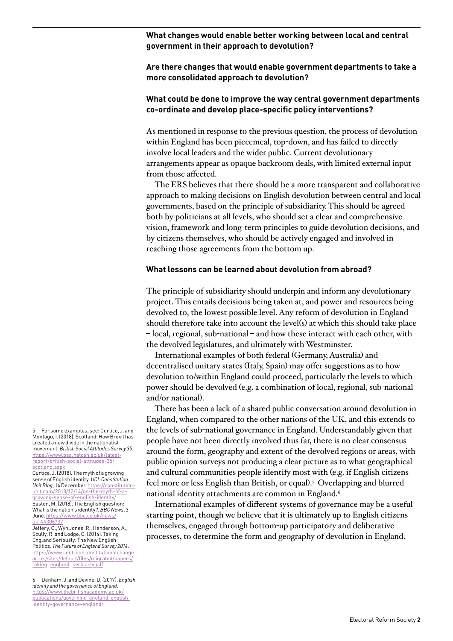**What changes would enable better working between local and central government in their approach to devolution?**

**Are there changes that would enable government departments to take a more consolidated approach to devolution?**

#### **What could be done to improve the way central government departments co-ordinate and develop place-specific policy interventions?**

As mentioned in response to the previous question, the process of devolution within England has been piecemeal, top-down, and has failed to directly involve local leaders and the wider public. Current devolutionary arrangements appear as opaque backroom deals, with limited external input from those affected.

The ERS believes that there should be a more transparent and collaborative approach to making decisions on English devolution between central and local governments, based on the principle of subsidiarity. This should be agreed both by politicians at all levels, who should set a clear and comprehensive vision, framework and long-term principles to guide devolution decisions, and by citizens themselves, who should be actively engaged and involved in reaching those agreements from the bottom up.

#### **What lessons can be learned about devolution from abroad?**

The principle of subsidiarity should underpin and inform any devolutionary project. This entails decisions being taken at, and power and resources being devolved to, the lowest possible level. Any reform of devolution in England should therefore take into account the level(s) at which this should take place – local, regional, sub-national – and how these interact with each other, with the devolved legislatures, and ultimately with Westminster.

International examples of both federal (Germany, Australia) and decentralised unitary states (Italy, Spain) may offer suggestions as to how devolution to/within England could proceed, particularly the levels to which power should be devolved (e.g. a combination of local, regional, sub-national and/or national).

There has been a lack of a shared public conversation around devolution in England, when compared to the other nations of the UK, and this extends to the levels of sub-national governance in England. Understandably given that people have not been directly involved thus far, there is no clear consensus around the form, geography and extent of the devolved regions or areas, with public opinion surveys not producing a clear picture as to what geographical and cultural communities people identify most with (e.g. if English citizens feel more or less English than British, or equal).[5](#page-1-0) Overlapping and blurred national identity attachments are common in England[.6](#page-1-1)

International examples of different systems of governance may be a useful starting point, though we believe that it is ultimately up to English citizens themselves, engaged through bottom-up participatory and deliberative processes, to determine the form and geography of devolution in England.

Scully, R. and Lodge, G. (2014). Taking England Seriously: The New English Politics. *The Future of England Survey 2014*. [https://www.centreonconstitutionalchange.](https://www.centreonconstitutionalchange.ac.uk/sites/default/files/migrated/papers/taking_england_seriously.pdf) [ac.uk/sites/default/files/migrated/papers/](https://www.centreonconstitutionalchange.ac.uk/sites/default/files/migrated/papers/taking_england_seriously.pdf) [taking\\_england\\_seriously.pdf](https://www.centreonconstitutionalchange.ac.uk/sites/default/files/migrated/papers/taking_england_seriously.pdf)

<span id="page-1-1"></span>6 Denham, J. and Devine, D. (2017). *English identity and the governance of England*. [https://www.thebritishacademy.ac.uk/](https://www.thebritishacademy.ac.uk/publications/governing-england-english-identity-governance-england/) [publications/governing-england-english](https://www.thebritishacademy.ac.uk/publications/governing-england-english-identity-governance-england/)[identity-governance-england/](https://www.thebritishacademy.ac.uk/publications/governing-england-english-identity-governance-england/)

<span id="page-1-0"></span><sup>5</sup> For some examples, see: Curtice, J. and Montagu, I. (2018). Scotland: How Brexit has created a new divide in the nationalist movement. *British Social Attitudes Survey 35*. [https://www.bsa.natcen.ac.uk/latest](https://www.bsa.natcen.ac.uk/latest-report/british-social-attitudes-35/scotland.aspx)[report/british-social-attitudes-35/](https://www.bsa.natcen.ac.uk/latest-report/british-social-attitudes-35/scotland.aspx) [scotland.aspx](https://www.bsa.natcen.ac.uk/latest-report/british-social-attitudes-35/scotland.aspx)

Curtice, J. (2018). The myth of a growing sense of English identity. *UCL Constitution Unit Blog*, 14 December. [https://constitution](https://constitution-unit.com/2018/12/14/on-the-myth-of-a-growing-sense-of-english-identity/ )[unit.com/2018/12/14/on-the-myth-of-a](https://constitution-unit.com/2018/12/14/on-the-myth-of-a-growing-sense-of-english-identity/ )[growing-sense-of-english-identity/](https://constitution-unit.com/2018/12/14/on-the-myth-of-a-growing-sense-of-english-identity/ )  Easton, M. (2018). The English question:

What is the nation's identity?. *BBC News*, 3 June. [https://www.bbc.co.uk/news/](https://www.bbc.co.uk/news/uk-44306737) [uk-44306737](https://www.bbc.co.uk/news/uk-44306737) Jeffery, C., Wyn Jones, R., Henderson, A.,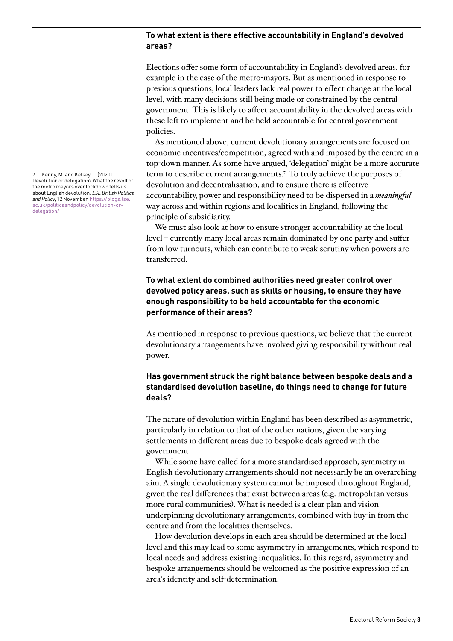#### **To what extent is there effective accountability in England's devolved areas?**

Elections offer some form of accountability in England's devolved areas, for example in the case of the metro-mayors. But as mentioned in response to previous questions, local leaders lack real power to effect change at the local level, with many decisions still being made or constrained by the central government. This is likely to affect accountability in the devolved areas with these left to implement and be held accountable for central government policies.

As mentioned above, current devolutionary arrangements are focused on economic incentives/competition, agreed with and imposed by the centre in a top-down manner. As some have argued, 'delegation' might be a more accurate term to describe current arrangements.[7](#page-2-0) To truly achieve the purposes of devolution and decentralisation, and to ensure there is effective accountability, power and responsibility need to be dispersed in a *meaningful* way across and within regions and localities in England, following the principle of subsidiarity.

We must also look at how to ensure stronger accountability at the local level – currently many local areas remain dominated by one party and suffer from low turnouts, which can contribute to weak scrutiny when powers are transferred.

# **To what extent do combined authorities need greater control over devolved policy areas, such as skills or housing, to ensure they have enough responsibility to be held accountable for the economic performance of their areas?**

As mentioned in response to previous questions, we believe that the current devolutionary arrangements have involved giving responsibility without real power.

# **Has government struck the right balance between bespoke deals and a standardised devolution baseline, do things need to change for future deals?**

The nature of devolution within England has been described as asymmetric, particularly in relation to that of the other nations, given the varying settlements in different areas due to bespoke deals agreed with the government.

While some have called for a more standardised approach, symmetry in English devolutionary arrangements should not necessarily be an overarching aim. A single devolutionary system cannot be imposed throughout England, given the real differences that exist between areas (e.g. metropolitan versus more rural communities). What is needed is a clear plan and vision underpinning devolutionary arrangements, combined with buy-in from the centre and from the localities themselves.

How devolution develops in each area should be determined at the local level and this may lead to some asymmetry in arrangements, which respond to local needs and address existing inequalities. In this regard, asymmetry and bespoke arrangements should be welcomed as the positive expression of an area's identity and self-determination.

<span id="page-2-0"></span>7 Kenny, M. and Kelsey, T. (2020). Devolution or delegation? What the revolt of the metro mayors over lockdown tells us about English devolution. *LSE British Politics and Policy*, 12 November. [https://blogs.lse.](https://blogs.lse.ac.uk/politicsandpolicy/devolution-or-delegation/) [ac.uk/politicsandpolicy/devolution-or](https://blogs.lse.ac.uk/politicsandpolicy/devolution-or-delegation/)[delegation/](https://blogs.lse.ac.uk/politicsandpolicy/devolution-or-delegation/)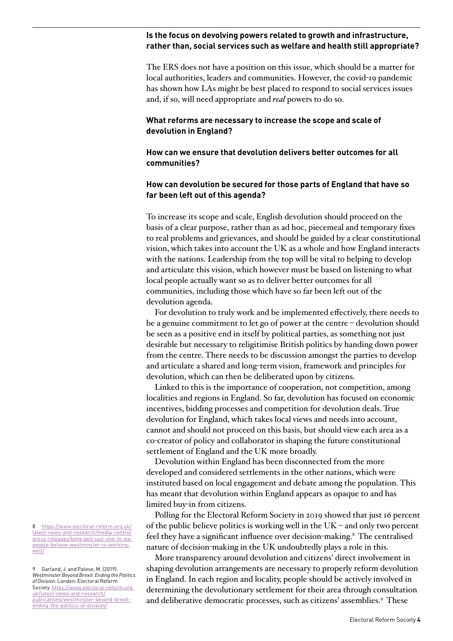#### **Is the focus on devolving powers related to growth and infrastructure, rather than, social services such as welfare and health still appropriate?**

The ERS does not have a position on this issue, which should be a matter for local authorities, leaders and communities. However, the covid-19 pandemic has shown how LAs might be best placed to respond to social services issues and, if so, will need appropriate and *real* powers to do so.

## **What reforms are necessary to increase the scope and scale of devolution in England?**

## **How can we ensure that devolution delivers better outcomes for all communities?**

## **How can devolution be secured for those parts of England that have so far been left out of this agenda?**

To increase its scope and scale, English devolution should proceed on the basis of a clear purpose, rather than as ad hoc, piecemeal and temporary fixes to real problems and grievances, and should be guided by a clear constitutional vision, which takes into account the UK as a whole and how England interacts with the nations. Leadership from the top will be vital to helping to develop and articulate this vision, which however must be based on listening to what local people actually want so as to deliver better outcomes for all communities, including those which have so far been left out of the devolution agenda.

For devolution to truly work and be implemented effectively, there needs to be a genuine commitment to let go of power at the centre – devolution should be seen as a positive end in itself by political parties, as something not just desirable but necessary to religitimise British politics by handing down power from the centre. There needs to be discussion amongst the parties to develop and articulate a shared and long-term vision, framework and principles for devolution, which can then be deliberated upon by citizens.

Linked to this is the importance of cooperation, not competition, among localities and regions in England. So far, devolution has focused on economic incentives, bidding processes and competition for devolution deals. True devolution for England, which takes local views and needs into account, cannot and should not proceed on this basis, but should view each area as a co-creator of policy and collaborator in shaping the future constitutional settlement of England and the UK more broadly.

Devolution within England has been disconnected from the more developed and considered settlements in the other nations, which were instituted based on local engagement and debate among the population. This has meant that devolution within England appears as opaque to and has limited buy-in from citizens.

Polling for the Electoral Reform Society in 2019 showed that just 16 percent of the public believe politics is working well in the UK – and only two percent feel they have a significant influence over decision-making.<sup>8</sup> The centralised nature of decision-making in the UK undoubtedly plays a role in this.

More transparency around devolution and citizens' direct involvement in shaping devolution arrangements are necessary to properly reform devolution in England. In each region and locality, people should be actively involved in determining the devolutionary settlement for their area through consultation and deliberative democratic processes, such as citizens' assemblies[.9](#page-3-0) These

8 [https://www.electoral-reform.org.uk/](https://www.electoral-reform.org.uk/latest-news-and-research/media-centre/press-releases/bmg-poll-just-one-in-six-people-believe-westminster-is-working-well/ ) [latest-news-and-research/media-centre/](https://www.electoral-reform.org.uk/latest-news-and-research/media-centre/press-releases/bmg-poll-just-one-in-six-people-believe-westminster-is-working-well/ ) [press-releases/bmg-poll-just-one-in-six](https://www.electoral-reform.org.uk/latest-news-and-research/media-centre/press-releases/bmg-poll-just-one-in-six-people-believe-westminster-is-working-well/ )[people-believe-westminster-is-working](https://www.electoral-reform.org.uk/latest-news-and-research/media-centre/press-releases/bmg-poll-just-one-in-six-people-believe-westminster-is-working-well/ )[well/](https://www.electoral-reform.org.uk/latest-news-and-research/media-centre/press-releases/bmg-poll-just-one-in-six-people-believe-westminster-is-working-well/ )

<span id="page-3-0"></span><sup>9</sup> Garland, J. and Palese, M. (2019). *Westminster Beyond Brexit: Ending the Politics of Division*. London: Electoral Reform Society. [https://www.electoral-reform.org.](https://www.electoral-reform.org.uk/latest-news-and-research/publications/westminster-beyond-brexit-ending-the-politics-of-division/) [uk/latest-news-and-research/](https://www.electoral-reform.org.uk/latest-news-and-research/publications/westminster-beyond-brexit-ending-the-politics-of-division/) [publications/westminster-beyond-brexit](https://www.electoral-reform.org.uk/latest-news-and-research/publications/westminster-beyond-brexit-ending-the-politics-of-division/)[ending-the-politics-of-division/](https://www.electoral-reform.org.uk/latest-news-and-research/publications/westminster-beyond-brexit-ending-the-politics-of-division/)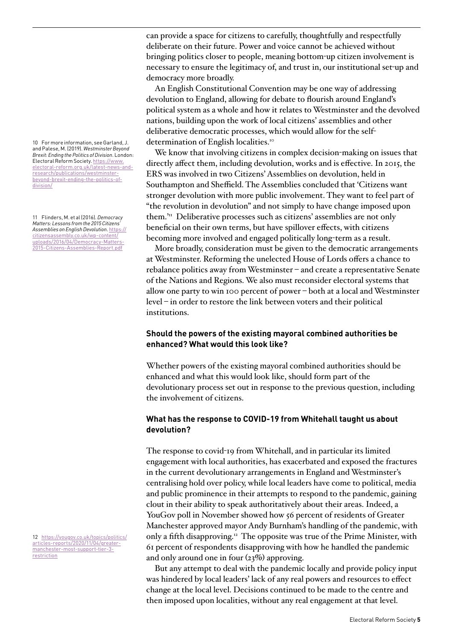<span id="page-4-0"></span>10 For more information, see Garland, J. and Palese, M. (2019). *Westminster Beyond Brexit: Ending the Politics of Division*. London: Electoral Reform Society. [https://www.](https://www.electoral-reform.org.uk/latest-news-and-research/publications/westminster-beyond-brexit-ending-the-politics-of-division/) [electoral-reform.org.uk/latest-news-and](https://www.electoral-reform.org.uk/latest-news-and-research/publications/westminster-beyond-brexit-ending-the-politics-of-division/)[research/publications/westminster](https://www.electoral-reform.org.uk/latest-news-and-research/publications/westminster-beyond-brexit-ending-the-politics-of-division/)[beyond-brexit-ending-the-politics-of](https://www.electoral-reform.org.uk/latest-news-and-research/publications/westminster-beyond-brexit-ending-the-politics-of-division/)[division/](https://www.electoral-reform.org.uk/latest-news-and-research/publications/westminster-beyond-brexit-ending-the-politics-of-division/)

<span id="page-4-1"></span>11 Flinders, M. et al (2016). *Democracy Matters: Lessons from the 2015 Citizens' Assemblies on English Devolution*. [https://](https://citizensassembly.co.uk/wp-content/uploads/2016/04/Democracy-Matters-2015-Citizens-Assemblies-Report.pdf) [citizensassembly.co.uk/wp-content/](https://citizensassembly.co.uk/wp-content/uploads/2016/04/Democracy-Matters-2015-Citizens-Assemblies-Report.pdf) [uploads/2016/04/Democracy-Matters-](https://citizensassembly.co.uk/wp-content/uploads/2016/04/Democracy-Matters-2015-Citizens-Assemblies-Report.pdf)[2015-Citizens-Assemblies-Report.pdf](https://citizensassembly.co.uk/wp-content/uploads/2016/04/Democracy-Matters-2015-Citizens-Assemblies-Report.pdf)

<span id="page-4-2"></span>12 [https://yougov.co.uk/topics/politics/](https://yougov.co.uk/topics/politics/articles-reports/2020/11/04/greater-manchester-most-support-tier-3-restriction) [articles-reports/2020/11/04/greater](https://yougov.co.uk/topics/politics/articles-reports/2020/11/04/greater-manchester-most-support-tier-3-restriction)[manchester-most-support-tier-3](https://yougov.co.uk/topics/politics/articles-reports/2020/11/04/greater-manchester-most-support-tier-3-restriction) [restriction](https://yougov.co.uk/topics/politics/articles-reports/2020/11/04/greater-manchester-most-support-tier-3-restriction)

can provide a space for citizens to carefully, thoughtfully and respectfully deliberate on their future. Power and voice cannot be achieved without bringing politics closer to people, meaning bottom-up citizen involvement is necessary to ensure the legitimacy of, and trust in, our institutional set-up and democracy more broadly.

An English Constitutional Convention may be one way of addressing devolution to England, allowing for debate to flourish around England's political system as a whole and how it relates to Westminster and the devolved nations, building upon the work of local citizens' assemblies and other deliberative democratic processes, which would allow for the self-determination of English localities.<sup>[10](#page-4-0)</sup>

We know that involving citizens in complex decision-making on issues that directly affect them, including devolution, works and is effective. In 2015, the ERS was involved in two Citizens' Assemblies on devolution, held in Southampton and Sheffield. The Assemblies concluded that 'Citizens want stronger devolution with more public involvement. They want to feel part of "the revolution in devolution" and not simply to have change imposed upon them.'[11](#page-4-1) Deliberative processes such as citizens' assemblies are not only beneficial on their own terms, but have spillover effects, with citizens becoming more involved and engaged politically long-term as a result.

More broadly, consideration must be given to the democratic arrangements at Westminster. Reforming the unelected House of Lords offers a chance to rebalance politics away from Westminster – and create a representative Senate of the Nations and Regions. We also must reconsider electoral systems that allow one party to win 100 percent of power – both at a local and Westminster level – in order to restore the link between voters and their political institutions.

## **Should the powers of the existing mayoral combined authorities be enhanced? What would this look like?**

Whether powers of the existing mayoral combined authorities should be enhanced and what this would look like, should form part of the devolutionary process set out in response to the previous question, including the involvement of citizens.

# **What has the response to COVID-19 from Whitehall taught us about devolution?**

The response to covid-19 from Whitehall, and in particular its limited engagement with local authorities, has exacerbated and exposed the fractures in the current devolutionary arrangements in England and Westminster's centralising hold over policy, while local leaders have come to political, media and public prominence in their attempts to respond to the pandemic, gaining clout in their ability to speak authoritatively about their areas. Indeed, a YouGov poll in November showed how 56 percent of residents of Greater Manchester approved mayor Andy Burnham's handling of the pandemic, with only a fifth disapproving[.12](#page-4-2) The opposite was true of the Prime Minister, with 61 percent of respondents disapproving with how he handled the pandemic and only around one in four (23%) approving.

But any attempt to deal with the pandemic locally and provide policy input was hindered by local leaders' lack of any real powers and resources to effect change at the local level. Decisions continued to be made to the centre and then imposed upon localities, without any real engagement at that level.